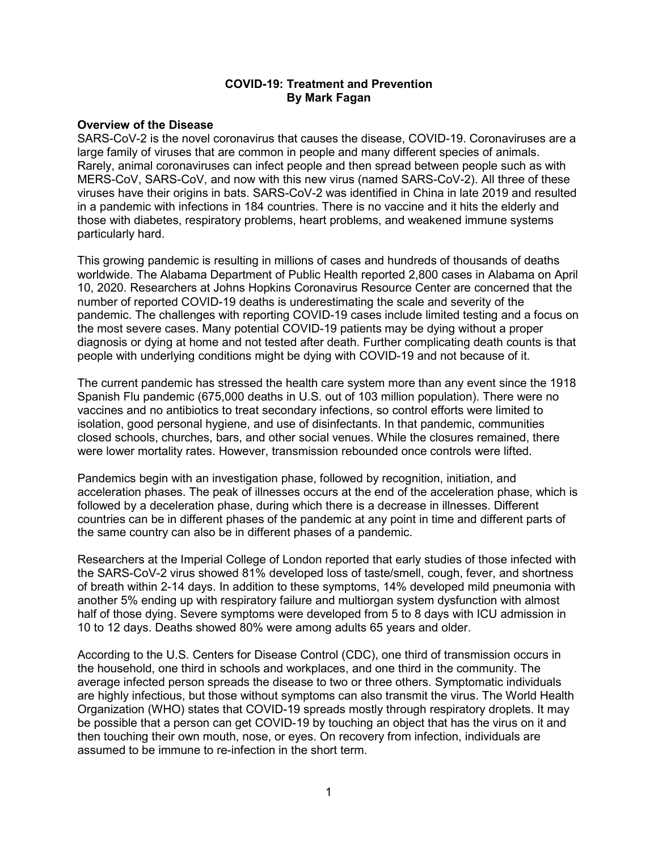## **COVID-19: Treatment and Prevention By Mark Fagan**

### **Overview of the Disease**

SARS-CoV-2 is the novel coronavirus that causes the disease, COVID-19. Coronaviruses are a large family of viruses that are common in people and many different species of animals. Rarely, animal coronaviruses can infect people and then spread between people such as with MERS-CoV, SARS-CoV, and now with this new virus (named SARS-CoV-2). All three of these viruses have their origins in bats. SARS-CoV-2 was identified in China in late 2019 and resulted in a pandemic with infections in 184 countries. There is no vaccine and it hits the elderly and those with diabetes, respiratory problems, heart problems, and weakened immune systems particularly hard.

This growing pandemic is resulting in millions of cases and hundreds of thousands of deaths worldwide. The Alabama Department of Public Health reported 2,800 cases in Alabama on April 10, 2020. Researchers at Johns Hopkins Coronavirus Resource Center are concerned that the number of reported COVID-19 deaths is underestimating the scale and severity of the pandemic. The challenges with reporting COVID-19 cases include limited testing and a focus on the most severe cases. Many potential COVID-19 patients may be dying without a proper diagnosis or dying at home and not tested after death. Further complicating death counts is that people with underlying conditions might be dying with COVID-19 and not because of it.

The current pandemic has stressed the health care system more than any event since the 1918 Spanish Flu pandemic (675,000 deaths in U.S. out of 103 million population). There were no vaccines and no antibiotics to treat secondary infections, so control efforts were limited to isolation, good personal hygiene, and use of disinfectants. In that pandemic, communities closed schools, churches, bars, and other social venues. While the closures remained, there were lower mortality rates. However, transmission rebounded once controls were lifted.

Pandemics begin with an investigation phase, followed by recognition, initiation, and acceleration phases. The peak of illnesses occurs at the end of the acceleration phase, which is followed by a deceleration phase, during which there is a decrease in illnesses. Different countries can be in different phases of the pandemic at any point in time and different parts of the same country can also be in different phases of a pandemic.

Researchers at the Imperial College of London reported that early studies of those infected with the SARS-CoV-2 virus showed 81% developed loss of taste/smell, cough, fever, and shortness of breath within 2-14 days. In addition to these symptoms, 14% developed mild pneumonia with another 5% ending up with respiratory failure and multiorgan system dysfunction with almost half of those dying. Severe symptoms were developed from 5 to 8 days with ICU admission in 10 to 12 days. Deaths showed 80% were among adults 65 years and older.

According to the U.S. Centers for Disease Control (CDC), one third of transmission occurs in the household, one third in schools and workplaces, and one third in the community. The average infected person spreads the disease to two or three others. Symptomatic individuals are highly infectious, but those without symptoms can also transmit the virus. The World Health Organization (WHO) states that COVID-19 spreads mostly through respiratory droplets. It may be possible that a person can get COVID-19 by touching an object that has the virus on it and then touching their own mouth, nose, or eyes. On recovery from infection, individuals are assumed to be immune to re-infection in the short term.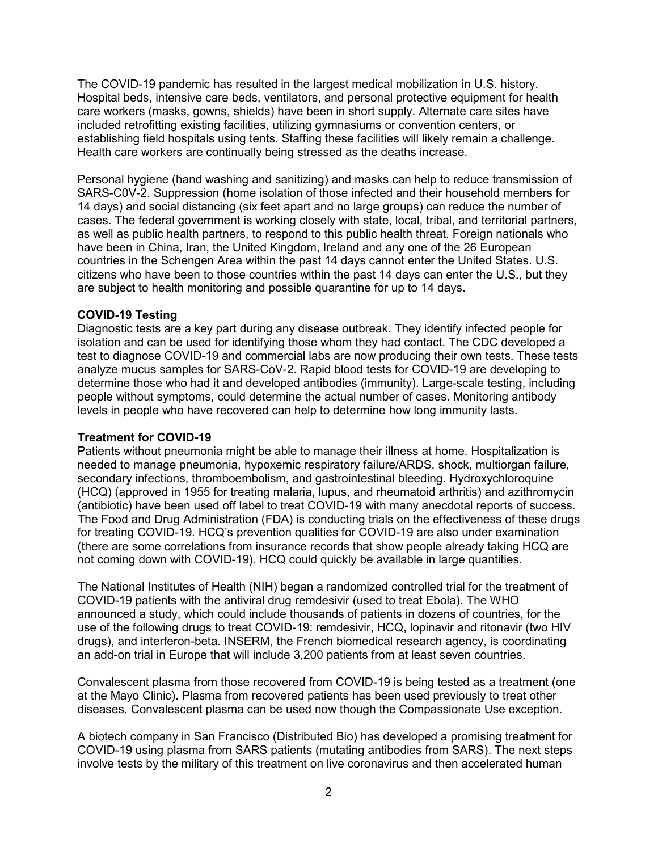The COVID-19 pandemic has resulted in the largest medical mobilization in U.S. history. Hospital beds, intensive care beds, ventilators, and personal protective equipment for health care workers (masks, gowns, shields) have been in short supply. Alternate care sites have included retrofitting existing facilities, utilizing gymnasiums or convention centers, or establishing field hospitals using tents. Staffing these facilities will likely remain a challenge. Health care workers are continually being stressed as the deaths increase.

Personal hygiene (hand washing and sanitizing) and masks can help to reduce transmission of SARS-C0V-2. Suppression (home isolation of those infected and their household members for 14 days) and social distancing (six feet apart and no large groups) can reduce the number of cases. The federal government is working closely with state, local, tribal, and territorial partners, as well as public health partners, to respond to this public health threat. Foreign nationals who have been in China, Iran, the United Kingdom, Ireland and any one of the 26 European countries in the Schengen Area within the past 14 days cannot enter the United States. U.S. citizens who have been to those countries within the past 14 days can enter the U.S., but they are subject to health monitoring and possible quarantine for up to 14 days.

## **COVID-19 Testing**

Diagnostic tests are a key part during any disease outbreak. They identify infected people for isolation and can be used for identifying those whom they had contact. The CDC developed a test to diagnose COVID-19 and commercial labs are now producing their own tests. These tests analyze mucus samples for SARS-CoV-2. Rapid blood tests for COVID-19 are developing to determine those who had it and developed antibodies (immunity). Large-scale testing, including people without symptoms, could determine the actual number of cases. Monitoring antibody levels in people who have recovered can help to determine how long immunity lasts.

# **Treatment for COVID-19**

Patients without pneumonia might be able to manage their illness at home. Hospitalization is needed to manage pneumonia, hypoxemic respiratory failure/ARDS, shock, multiorgan failure, secondary infections, thromboembolism, and gastrointestinal bleeding. Hydroxychloroquine (HCQ) (approved in 1955 for treating malaria, lupus, and rheumatoid arthritis) and azithromycin (antibiotic) have been used off label to treat COVID-19 with many anecdotal reports of success. The Food and Drug Administration (FDA) is conducting trials on the effectiveness of these drugs for treating COVID-19. HCQ's prevention qualities for COVID-19 are also under examination (there are some correlations from insurance records that show people already taking HCQ are not coming down with COVID-19). HCQ could quickly be available in large quantities.

The National Institutes of Health (NIH) began a randomized controlled trial for the treatment of COVID-19 patients with the antiviral drug remdesivir (used to treat Ebola). The WHO announced a study, which could include thousands of patients in dozens of countries, for the use of the following drugs to treat COVID-19: remdesivir, HCQ, lopinavir and ritonavir (two HIV drugs), and interferon-beta. INSERM, the French biomedical research agency, is coordinating an add-on trial in Europe that will include 3,200 patients from at least seven countries.

Convalescent plasma from those recovered from COVID-19 is being tested as a treatment (one at the Mayo Clinic). Plasma from recovered patients has been used previously to treat other diseases. Convalescent plasma can be used now though the Compassionate Use exception.

A biotech company in San Francisco (Distributed Bio) has developed a promising treatment for COVID-19 using plasma from SARS patients (mutating antibodies from SARS). The next steps involve tests by the military of this treatment on live coronavirus and then accelerated human